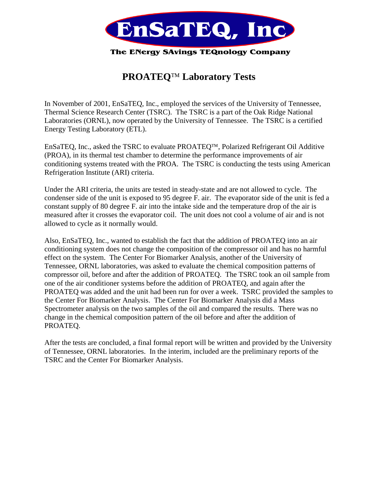

# **PROATEQ Laboratory Tests**

In November of 2001, EnSaTEQ, Inc., employed the services of the University of Tennessee, Thermal Science Research Center (TSRC). The TSRC is a part of the Oak Ridge National Laboratories (ORNL), now operated by the University of Tennessee. The TSRC is a certified Energy Testing Laboratory (ETL).

EnSaTEQ, Inc., asked the TSRC to evaluate PROATEQ™, Polarized Refrigerant Oil Additive (PROA), in its thermal test chamber to determine the performance improvements of air conditioning systems treated with the PROA. The TSRC is conducting the tests using American Refrigeration Institute (ARI) criteria.

Under the ARI criteria, the units are tested in steady-state and are not allowed to cycle. The condenser side of the unit is exposed to 95 degree F. air. The evaporator side of the unit is fed a constant supply of 80 degree F. air into the intake side and the temperature drop of the air is measured after it crosses the evaporator coil. The unit does not cool a volume of air and is not allowed to cycle as it normally would.

Also, EnSaTEQ, Inc., wanted to establish the fact that the addition of PROATEQ into an air conditioning system does not change the composition of the compressor oil and has no harmful effect on the system. The Center For Biomarker Analysis, another of the University of Tennessee, ORNL laboratories, was asked to evaluate the chemical composition patterns of compressor oil, before and after the addition of PROATEQ. The TSRC took an oil sample from one of the air conditioner systems before the addition of PROATEQ, and again after the PROATEQ was added and the unit had been run for over a week. TSRC provided the samples to the Center For Biomarker Analysis. The Center For Biomarker Analysis did a Mass Spectrometer analysis on the two samples of the oil and compared the results. There was no change in the chemical composition pattern of the oil before and after the addition of PROATEQ.

After the tests are concluded, a final formal report will be written and provided by the University of Tennessee, ORNL laboratories. In the interim, included are the preliminary reports of the TSRC and the Center For Biomarker Analysis.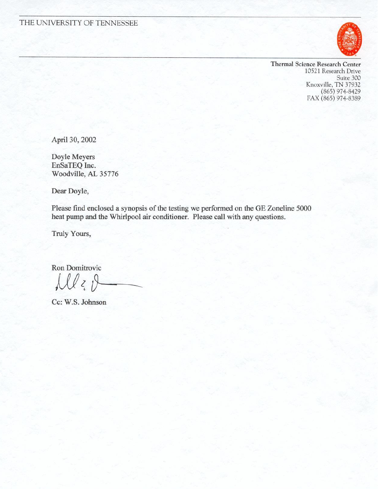

Thermal Science Research Center 10521 Research Drive Suite 300 Knoxville, TN 37932 (865) 974-8429 FAX (865) 974-8389

April 30, 2002

Doyle Meyers EnSaTEQ Inc. Woodville, AL 35776

Dear Doyle,

Please find enclosed a synopsis of the testing we performed on the GE Zoneline 5000 heat pump and the Whirlpool air conditioner. Please call with any questions.

Truly Yours,

Ron Domitrovic Del 20

Cc: W.S. Johnson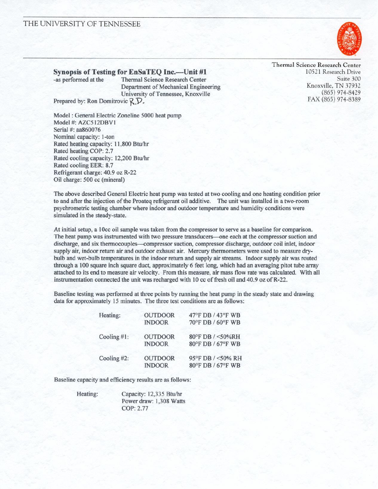

**Synopsis of Testing for EnSaTEO Inc.—Unit #1** Thermal Science Research Center -as performed at the Department of Mechanical Engineering University of Tennessee, Knoxville

Prepared by: Ron Domitrovic  $R \nabla$ .

Model : General Electric Zoneline 5000 heat pump Model #: AZC512DBV1 Serial #: aa860076 Nominal capacity: 1-ton Rated heating capacity: 11,800 Btu/hr Rated heating COP: 2.7 Rated cooling capacity: 12,200 Btu/hr Rated cooling EER: 8.7 Refrigerant charge: 40.9 oz R-22 Oil charge: 500 cc (mineral)

Thermal Science Research Center 10521 Research Drive Suite 300 Knoxville, TN 37932  $(865)$  974-8429 FAX (865) 974-8389

The above described General Electric heat pump was tested at two cooling and one heating condition prior to and after the injection of the Proateq refrigerant oil additive. The unit was installed in a two-room psychrometric testing chamber where indoor and outdoor temperature and humidity conditions were simulated in the steady-state.

At initial setup, a 10cc oil sample was taken from the compressor to serve as a baseline for comparison. The heat pump was instrumented with two pressure transducers—one each at the compressor suction and discharge, and six thermocouples—compressor suction, compressor discharge, outdoor coil inlet, indoor supply air, indoor return air and outdoor exhaust air. Mercury thermometers were used to measure drybulb and wet-bulb temperatures in the indoor return and supply air streams. Indoor supply air was routed through a 100 square inch square duct, approximately 6 feet long, which had an averaging pitot tube array attached to its end to measure air velocity. From this measure, air mass flow rate was calculated. With all instrumentation connected the unit was recharged with 10 cc of fresh oil and 40.9 oz of R-22.

Baseline testing was performed at three points by running the heat pump in the steady state and drawing data for approximately 15 minutes. The three test conditions are as follows:

| Heating:    | <b>OUTDOOR</b><br><b>INDOOR</b> | 47°F DB / 43°F WB<br>70°F DB / 60°F WB |
|-------------|---------------------------------|----------------------------------------|
| Cooling #1: | <b>OUTDOOR</b><br><b>INDOOR</b> | 80°F DB / <50%RH<br>80°F DB / 67°F WB  |
| Cooling #2: | <b>OUTDOOR</b><br><b>INDOOR</b> | 95°F DB / <50% RH<br>80°F DB / 67°F WB |

Baseline capacity and efficiency results are as follows:

Heating: Capacity: 12,335 Btu/hr Power draw: 1,308 Watts COP: 2.77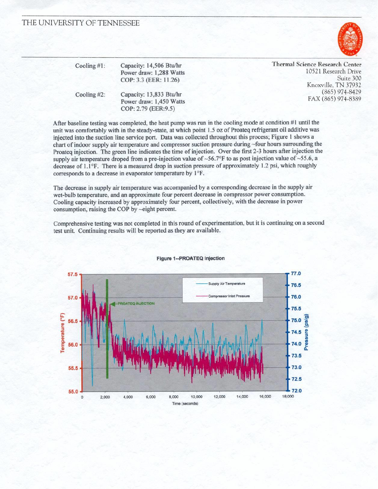

| Cooling $#1$ : | Capacity: 14,506 Btu/hr<br>Power draw: 1,288 Watts<br>COP: 3.3 (EER: 11.26) | Thermal Science Research Center<br>10521 Research Drive<br>Suite 300<br>Knoxville, TN 37932 |
|----------------|-----------------------------------------------------------------------------|---------------------------------------------------------------------------------------------|
| Cooling $#2$ : | Capacity: 13,833 Btu/hr<br>Power draw: 1,450 Watts<br>COP: 2.79 (EER: 9.5)  | $(865)$ 974-8429<br>FAX (865) 974-8389                                                      |

After baseline testing was completed, the heat pump was run in the cooling mode at condition #1 until the unit was comfortably with in the steady-state, at which point 1.5 oz of Proateq refrigerant oil additive was injected into the suction line service port. Data was collected throughout this process; Figure 1 shows a chart of indoor supply air temperature and compressor suction pressure during ~four hours surrounding the Proateq injection. The green line indicates the time of injection. Over the first 2-3 hours after injection the supply air temperature droped from a pre-injection value of ~56.7°F to as post injection value of ~55.6, a decrease of  $1.1^{\circ}$ F. There is a measured drop in suction pressure of approximately 1.2 psi, which roughly corresponds to a decrease in evaporator temperature by 1°F.

The decrease in supply air temperature was accompanied by a corresponding decrease in the supply air wet-bulb temperature, and an approximate four percent decrease in compressor power consumption. Cooling capacity increased by approximately four percent, collectively, with the decrease in power consumption, raising the COP by ~eight percent.

Comprehensive testing was not completed in this round of experimentation, but it is continuing on a second test unit. Continuing results will be reported as they are available.



#### Figure 1--PROATEQ Injection